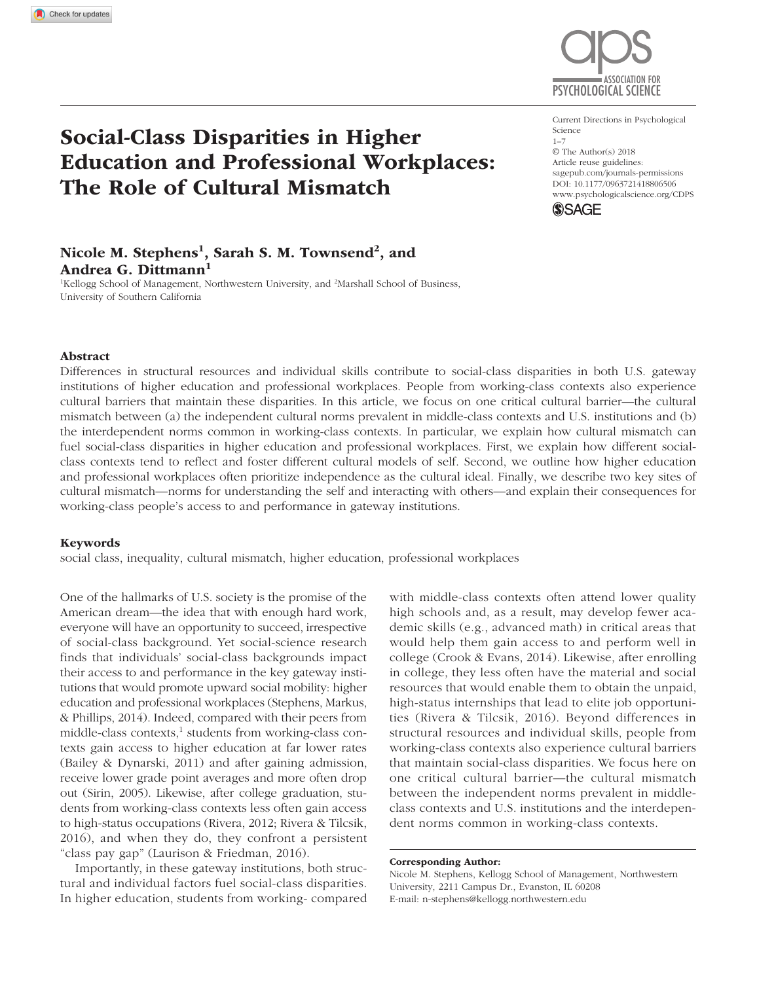

# Social-Class Disparities in Higher Education and Professional Workplaces: The Role of Cultural Mismatch

https://doi.org/10.1177/0963721418806506 DOI: 10.1177/0963721418806506 Current Directions in Psychological Science 1–7 © The Author(s) 2018 Article reuse guidelines: [sagepub.com/journals-permissions](https://sagepub.com/journals-permissions) [www.psychologicalscience.org/CDPS](http://www.psychologicalscience.org/cdps)



# Nicole M. Stephens<sup>1</sup>, Sarah S. M. Townsend<sup>2</sup>, and Andrea G. Dittmann<sup>1</sup>

<sup>1</sup>Kellogg School of Management, Northwestern University, and <sup>2</sup>Marshall School of Business, University of Southern California

### Abstract

Differences in structural resources and individual skills contribute to social-class disparities in both U.S. gateway institutions of higher education and professional workplaces. People from working-class contexts also experience cultural barriers that maintain these disparities. In this article, we focus on one critical cultural barrier—the cultural mismatch between (a) the independent cultural norms prevalent in middle-class contexts and U.S. institutions and (b) the interdependent norms common in working-class contexts. In particular, we explain how cultural mismatch can fuel social-class disparities in higher education and professional workplaces. First, we explain how different socialclass contexts tend to reflect and foster different cultural models of self. Second, we outline how higher education and professional workplaces often prioritize independence as the cultural ideal. Finally, we describe two key sites of cultural mismatch—norms for understanding the self and interacting with others—and explain their consequences for working-class people's access to and performance in gateway institutions.

#### Keywords

social class, inequality, cultural mismatch, higher education, professional workplaces

One of the hallmarks of U.S. society is the promise of the American dream—the idea that with enough hard work, everyone will have an opportunity to succeed, irrespective of social-class background. Yet social-science research finds that individuals' social-class backgrounds impact their access to and performance in the key gateway institutions that would promote upward social mobility: higher education and professional workplaces (Stephens, Markus, & Phillips, 2014). Indeed, compared with their peers from middle-class contexts,<sup>1</sup> students from working-class contexts gain access to higher education at far lower rates (Bailey & Dynarski, 2011) and after gaining admission, receive lower grade point averages and more often drop out (Sirin, 2005). Likewise, after college graduation, students from working-class contexts less often gain access to high-status occupations (Rivera, 2012; Rivera & Tilcsik, 2016), and when they do, they confront a persistent "class pay gap" (Laurison & Friedman, 2016).

Importantly, in these gateway institutions, both structural and individual factors fuel social-class disparities. In higher education, students from working- compared with middle-class contexts often attend lower quality high schools and, as a result, may develop fewer academic skills (e.g., advanced math) in critical areas that would help them gain access to and perform well in college (Crook & Evans, 2014). Likewise, after enrolling in college, they less often have the material and social resources that would enable them to obtain the unpaid, high-status internships that lead to elite job opportunities (Rivera & Tilcsik, 2016). Beyond differences in structural resources and individual skills, people from working-class contexts also experience cultural barriers that maintain social-class disparities. We focus here on one critical cultural barrier—the cultural mismatch between the independent norms prevalent in middleclass contexts and U.S. institutions and the interdependent norms common in working-class contexts.

#### Corresponding Author:

Nicole M. Stephens, Kellogg School of Management, Northwestern University, 2211 Campus Dr., Evanston, IL 60208 E-mail: [n-stephens@kellogg.northwestern.edu](mailto:n-stephens@kellogg.northwestern.edu)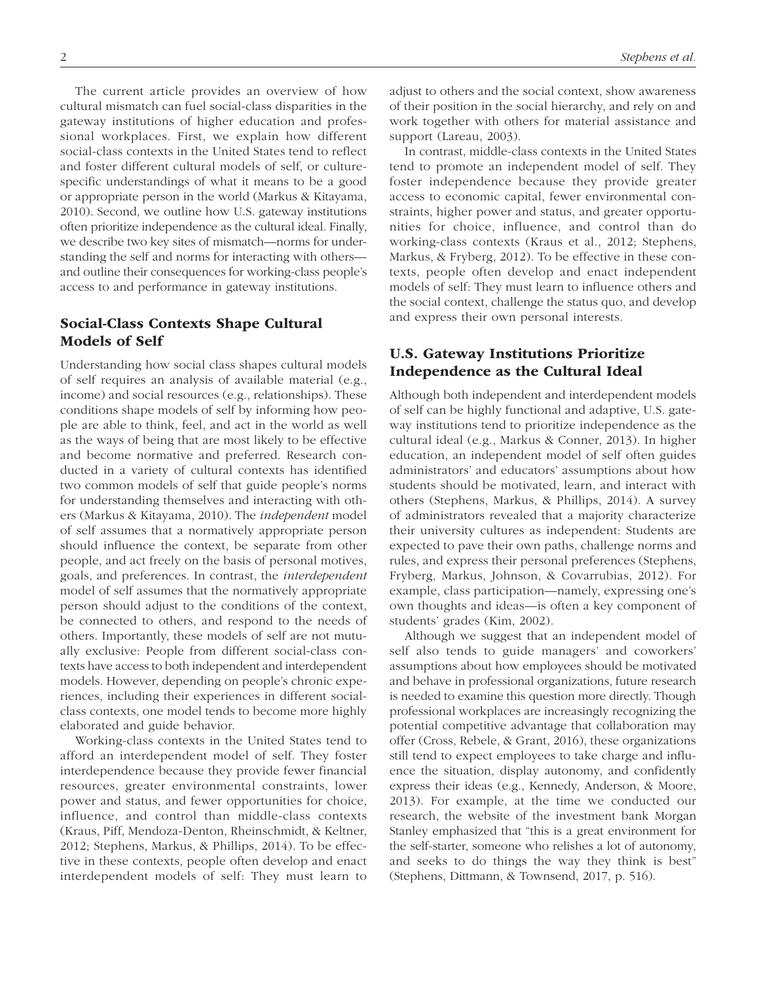The current article provides an overview of how cultural mismatch can fuel social-class disparities in the gateway institutions of higher education and professional workplaces. First, we explain how different social-class contexts in the United States tend to reflect and foster different cultural models of self, or culturespecific understandings of what it means to be a good or appropriate person in the world (Markus & Kitayama, 2010). Second, we outline how U.S. gateway institutions often prioritize independence as the cultural ideal. Finally, we describe two key sites of mismatch—norms for understanding the self and norms for interacting with others and outline their consequences for working-class people's access to and performance in gateway institutions.

# Social-Class Contexts Shape Cultural Models of Self

Understanding how social class shapes cultural models of self requires an analysis of available material (e.g., income) and social resources (e.g., relationships). These conditions shape models of self by informing how people are able to think, feel, and act in the world as well as the ways of being that are most likely to be effective and become normative and preferred. Research conducted in a variety of cultural contexts has identified two common models of self that guide people's norms for understanding themselves and interacting with others (Markus & Kitayama, 2010). The *independent* model of self assumes that a normatively appropriate person should influence the context, be separate from other people, and act freely on the basis of personal motives, goals, and preferences. In contrast, the *interdependent* model of self assumes that the normatively appropriate person should adjust to the conditions of the context, be connected to others, and respond to the needs of others. Importantly, these models of self are not mutually exclusive: People from different social-class contexts have access to both independent and interdependent models. However, depending on people's chronic experiences, including their experiences in different socialclass contexts, one model tends to become more highly elaborated and guide behavior.

Working-class contexts in the United States tend to afford an interdependent model of self. They foster interdependence because they provide fewer financial resources, greater environmental constraints, lower power and status, and fewer opportunities for choice, influence, and control than middle-class contexts (Kraus, Piff, Mendoza-Denton, Rheinschmidt, & Keltner, 2012; Stephens, Markus, & Phillips, 2014). To be effective in these contexts, people often develop and enact interdependent models of self: They must learn to adjust to others and the social context, show awareness of their position in the social hierarchy, and rely on and work together with others for material assistance and support (Lareau, 2003).

In contrast, middle-class contexts in the United States tend to promote an independent model of self. They foster independence because they provide greater access to economic capital, fewer environmental constraints, higher power and status, and greater opportunities for choice, influence, and control than do working-class contexts (Kraus et al., 2012; Stephens, Markus, & Fryberg, 2012). To be effective in these contexts, people often develop and enact independent models of self: They must learn to influence others and the social context, challenge the status quo, and develop and express their own personal interests.

## U.S. Gateway Institutions Prioritize Independence as the Cultural Ideal

Although both independent and interdependent models of self can be highly functional and adaptive, U.S. gateway institutions tend to prioritize independence as the cultural ideal (e.g., Markus & Conner, 2013). In higher education, an independent model of self often guides administrators' and educators' assumptions about how students should be motivated, learn, and interact with others (Stephens, Markus, & Phillips, 2014). A survey of administrators revealed that a majority characterize their university cultures as independent: Students are expected to pave their own paths, challenge norms and rules, and express their personal preferences (Stephens, Fryberg, Markus, Johnson, & Covarrubias, 2012). For example, class participation—namely, expressing one's own thoughts and ideas—is often a key component of students' grades (Kim, 2002).

Although we suggest that an independent model of self also tends to guide managers' and coworkers' assumptions about how employees should be motivated and behave in professional organizations, future research is needed to examine this question more directly. Though professional workplaces are increasingly recognizing the potential competitive advantage that collaboration may offer (Cross, Rebele, & Grant, 2016), these organizations still tend to expect employees to take charge and influence the situation, display autonomy, and confidently express their ideas (e.g., Kennedy, Anderson, & Moore, 2013). For example, at the time we conducted our research, the website of the investment bank Morgan Stanley emphasized that "this is a great environment for the self-starter, someone who relishes a lot of autonomy, and seeks to do things the way they think is best" (Stephens, Dittmann, & Townsend, 2017, p. 516).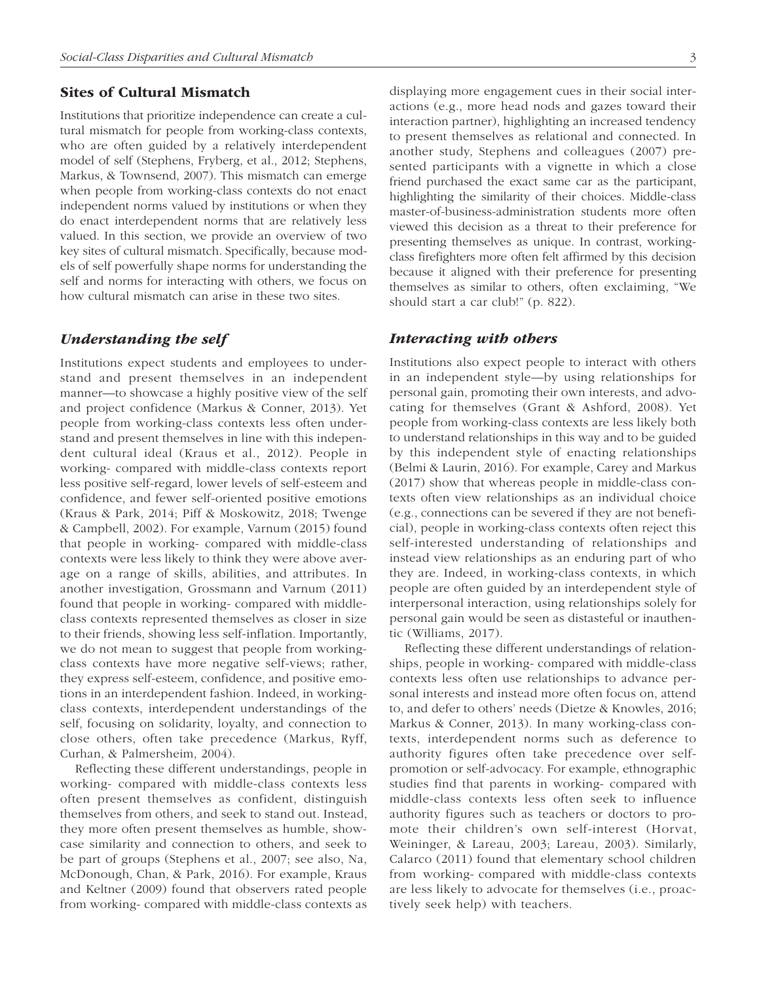### Sites of Cultural Mismatch

Institutions that prioritize independence can create a cultural mismatch for people from working-class contexts, who are often guided by a relatively interdependent model of self (Stephens, Fryberg, et al., 2012; Stephens, Markus, & Townsend, 2007). This mismatch can emerge when people from working-class contexts do not enact independent norms valued by institutions or when they do enact interdependent norms that are relatively less valued. In this section, we provide an overview of two key sites of cultural mismatch. Specifically, because models of self powerfully shape norms for understanding the self and norms for interacting with others, we focus on how cultural mismatch can arise in these two sites.

### *Understanding the self*

Institutions expect students and employees to understand and present themselves in an independent manner—to showcase a highly positive view of the self and project confidence (Markus & Conner, 2013). Yet people from working-class contexts less often understand and present themselves in line with this independent cultural ideal (Kraus et al., 2012). People in working- compared with middle-class contexts report less positive self-regard, lower levels of self-esteem and confidence, and fewer self-oriented positive emotions (Kraus & Park, 2014; Piff & Moskowitz, 2018; Twenge & Campbell, 2002). For example, Varnum (2015) found that people in working- compared with middle-class contexts were less likely to think they were above average on a range of skills, abilities, and attributes. In another investigation, Grossmann and Varnum (2011) found that people in working- compared with middleclass contexts represented themselves as closer in size to their friends, showing less self-inflation. Importantly, we do not mean to suggest that people from workingclass contexts have more negative self-views; rather, they express self-esteem, confidence, and positive emotions in an interdependent fashion. Indeed, in workingclass contexts, interdependent understandings of the self, focusing on solidarity, loyalty, and connection to close others, often take precedence (Markus, Ryff, Curhan, & Palmersheim, 2004).

Reflecting these different understandings, people in working- compared with middle-class contexts less often present themselves as confident, distinguish themselves from others, and seek to stand out. Instead, they more often present themselves as humble, showcase similarity and connection to others, and seek to be part of groups (Stephens et al., 2007; see also, Na, McDonough, Chan, & Park, 2016). For example, Kraus and Keltner (2009) found that observers rated people from working- compared with middle-class contexts as displaying more engagement cues in their social interactions (e.g., more head nods and gazes toward their interaction partner), highlighting an increased tendency to present themselves as relational and connected. In another study, Stephens and colleagues (2007) presented participants with a vignette in which a close friend purchased the exact same car as the participant, highlighting the similarity of their choices. Middle-class master-of-business-administration students more often viewed this decision as a threat to their preference for presenting themselves as unique. In contrast, workingclass firefighters more often felt affirmed by this decision because it aligned with their preference for presenting themselves as similar to others, often exclaiming, "We should start a car club!" (p. 822).

# *Interacting with others*

Institutions also expect people to interact with others in an independent style—by using relationships for personal gain, promoting their own interests, and advocating for themselves (Grant & Ashford, 2008). Yet people from working-class contexts are less likely both to understand relationships in this way and to be guided by this independent style of enacting relationships (Belmi & Laurin, 2016). For example, Carey and Markus (2017) show that whereas people in middle-class contexts often view relationships as an individual choice (e.g., connections can be severed if they are not beneficial), people in working-class contexts often reject this self-interested understanding of relationships and instead view relationships as an enduring part of who they are. Indeed, in working-class contexts, in which people are often guided by an interdependent style of interpersonal interaction, using relationships solely for personal gain would be seen as distasteful or inauthentic (Williams, 2017).

Reflecting these different understandings of relationships, people in working- compared with middle-class contexts less often use relationships to advance personal interests and instead more often focus on, attend to, and defer to others' needs (Dietze & Knowles, 2016; Markus & Conner, 2013). In many working-class contexts, interdependent norms such as deference to authority figures often take precedence over selfpromotion or self-advocacy. For example, ethnographic studies find that parents in working- compared with middle-class contexts less often seek to influence authority figures such as teachers or doctors to promote their children's own self-interest (Horvat, Weininger, & Lareau, 2003; Lareau, 2003). Similarly, Calarco (2011) found that elementary school children from working- compared with middle-class contexts are less likely to advocate for themselves (i.e., proactively seek help) with teachers.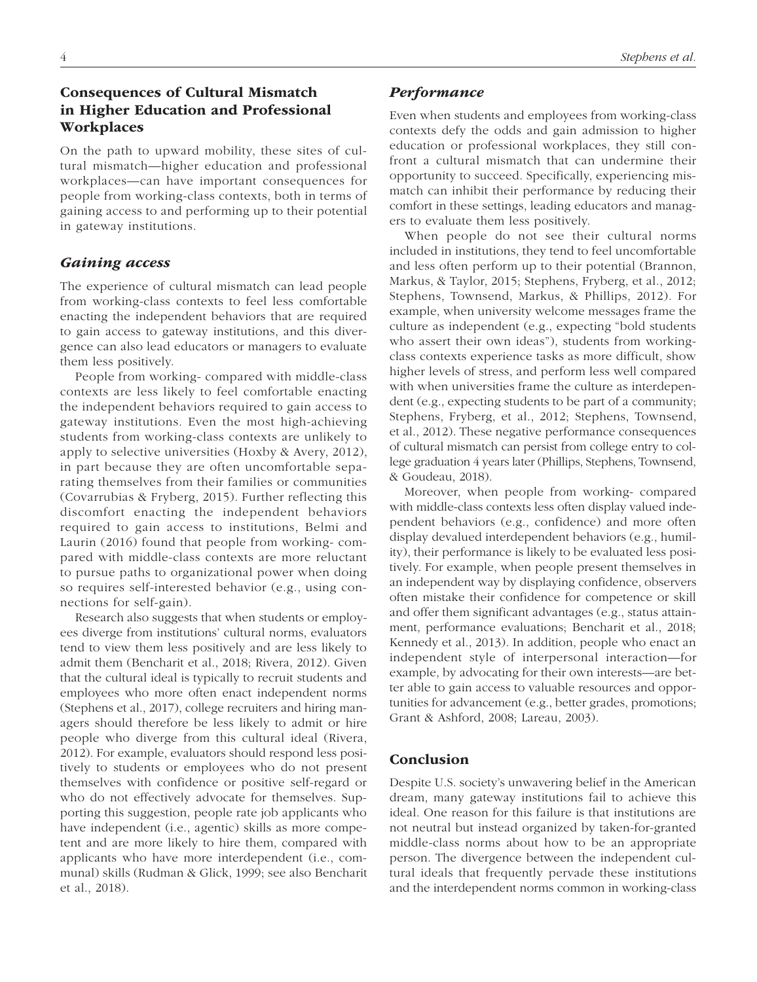# Consequences of Cultural Mismatch in Higher Education and Professional Workplaces

On the path to upward mobility, these sites of cultural mismatch—higher education and professional workplaces—can have important consequences for people from working-class contexts, both in terms of gaining access to and performing up to their potential in gateway institutions.

### *Gaining access*

The experience of cultural mismatch can lead people from working-class contexts to feel less comfortable enacting the independent behaviors that are required to gain access to gateway institutions, and this divergence can also lead educators or managers to evaluate them less positively.

People from working- compared with middle-class contexts are less likely to feel comfortable enacting the independent behaviors required to gain access to gateway institutions. Even the most high-achieving students from working-class contexts are unlikely to apply to selective universities (Hoxby & Avery, 2012), in part because they are often uncomfortable separating themselves from their families or communities (Covarrubias & Fryberg, 2015). Further reflecting this discomfort enacting the independent behaviors required to gain access to institutions, Belmi and Laurin (2016) found that people from working- compared with middle-class contexts are more reluctant to pursue paths to organizational power when doing so requires self-interested behavior (e.g., using connections for self-gain).

Research also suggests that when students or employees diverge from institutions' cultural norms, evaluators tend to view them less positively and are less likely to admit them (Bencharit et al., 2018; Rivera, 2012). Given that the cultural ideal is typically to recruit students and employees who more often enact independent norms (Stephens et al., 2017), college recruiters and hiring managers should therefore be less likely to admit or hire people who diverge from this cultural ideal (Rivera, 2012). For example, evaluators should respond less positively to students or employees who do not present themselves with confidence or positive self-regard or who do not effectively advocate for themselves. Supporting this suggestion, people rate job applicants who have independent (i.e., agentic) skills as more competent and are more likely to hire them, compared with applicants who have more interdependent (i.e., communal) skills (Rudman & Glick, 1999; see also Bencharit et al., 2018).

### *Performance*

Even when students and employees from working-class contexts defy the odds and gain admission to higher education or professional workplaces, they still confront a cultural mismatch that can undermine their opportunity to succeed. Specifically, experiencing mismatch can inhibit their performance by reducing their comfort in these settings, leading educators and managers to evaluate them less positively.

When people do not see their cultural norms included in institutions, they tend to feel uncomfortable and less often perform up to their potential (Brannon, Markus, & Taylor, 2015; Stephens, Fryberg, et al., 2012; Stephens, Townsend, Markus, & Phillips, 2012). For example, when university welcome messages frame the culture as independent (e.g., expecting "bold students who assert their own ideas"), students from workingclass contexts experience tasks as more difficult, show higher levels of stress, and perform less well compared with when universities frame the culture as interdependent (e.g., expecting students to be part of a community; Stephens, Fryberg, et al., 2012; Stephens, Townsend, et al., 2012). These negative performance consequences of cultural mismatch can persist from college entry to college graduation 4 years later (Phillips, Stephens, Townsend, & Goudeau, 2018).

Moreover, when people from working- compared with middle-class contexts less often display valued independent behaviors (e.g., confidence) and more often display devalued interdependent behaviors (e.g., humility), their performance is likely to be evaluated less positively. For example, when people present themselves in an independent way by displaying confidence, observers often mistake their confidence for competence or skill and offer them significant advantages (e.g., status attainment, performance evaluations; Bencharit et al., 2018; Kennedy et al., 2013). In addition, people who enact an independent style of interpersonal interaction—for example, by advocating for their own interests—are better able to gain access to valuable resources and opportunities for advancement (e.g., better grades, promotions; Grant & Ashford, 2008; Lareau, 2003).

### Conclusion

Despite U.S. society's unwavering belief in the American dream, many gateway institutions fail to achieve this ideal. One reason for this failure is that institutions are not neutral but instead organized by taken-for-granted middle-class norms about how to be an appropriate person. The divergence between the independent cultural ideals that frequently pervade these institutions and the interdependent norms common in working-class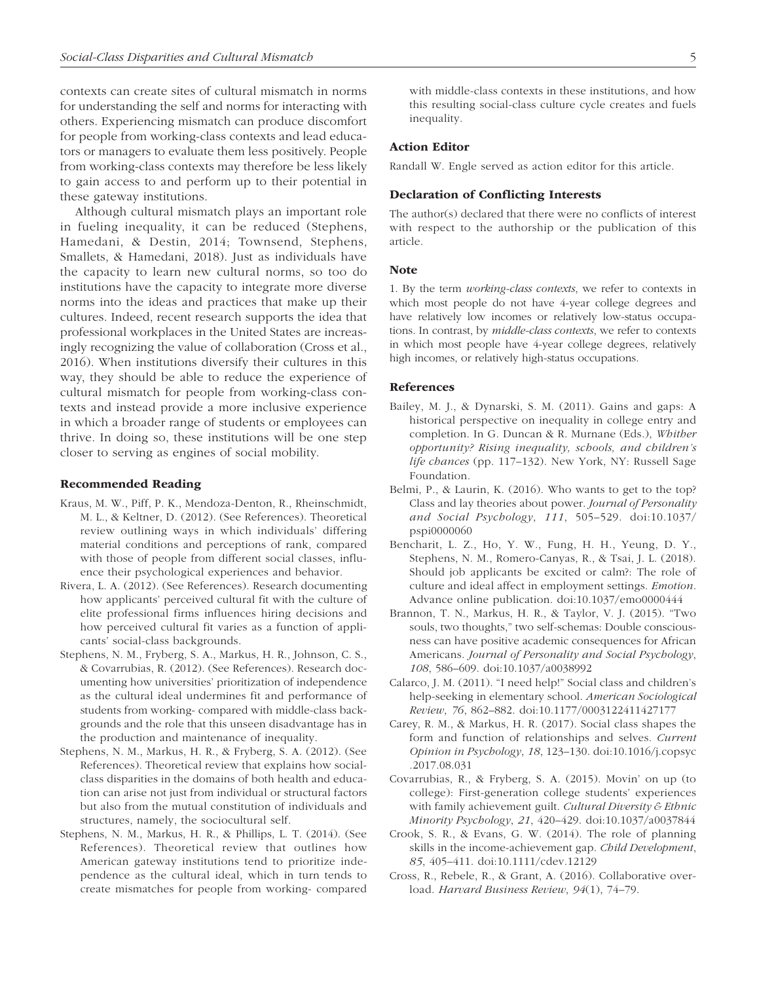contexts can create sites of cultural mismatch in norms for understanding the self and norms for interacting with others. Experiencing mismatch can produce discomfort for people from working-class contexts and lead educators or managers to evaluate them less positively. People from working-class contexts may therefore be less likely to gain access to and perform up to their potential in these gateway institutions.

Although cultural mismatch plays an important role in fueling inequality, it can be reduced (Stephens, Hamedani, & Destin, 2014; Townsend, Stephens, Smallets, & Hamedani, 2018). Just as individuals have the capacity to learn new cultural norms, so too do institutions have the capacity to integrate more diverse norms into the ideas and practices that make up their cultures. Indeed, recent research supports the idea that professional workplaces in the United States are increasingly recognizing the value of collaboration (Cross et al., 2016). When institutions diversify their cultures in this way, they should be able to reduce the experience of cultural mismatch for people from working-class contexts and instead provide a more inclusive experience in which a broader range of students or employees can thrive. In doing so, these institutions will be one step closer to serving as engines of social mobility.

### Recommended Reading

- Kraus, M. W., Piff, P. K., Mendoza-Denton, R., Rheinschmidt, M. L., & Keltner, D. (2012). (See References). Theoretical review outlining ways in which individuals' differing material conditions and perceptions of rank, compared with those of people from different social classes, influence their psychological experiences and behavior.
- Rivera, L. A. (2012). (See References). Research documenting how applicants' perceived cultural fit with the culture of elite professional firms influences hiring decisions and how perceived cultural fit varies as a function of applicants' social-class backgrounds.
- Stephens, N. M., Fryberg, S. A., Markus, H. R., Johnson, C. S., & Covarrubias, R. (2012). (See References). Research documenting how universities' prioritization of independence as the cultural ideal undermines fit and performance of students from working- compared with middle-class backgrounds and the role that this unseen disadvantage has in the production and maintenance of inequality.
- Stephens, N. M., Markus, H. R., & Fryberg, S. A. (2012). (See References). Theoretical review that explains how socialclass disparities in the domains of both health and education can arise not just from individual or structural factors but also from the mutual constitution of individuals and structures, namely, the sociocultural self.
- Stephens, N. M., Markus, H. R., & Phillips, L. T. (2014). (See References). Theoretical review that outlines how American gateway institutions tend to prioritize independence as the cultural ideal, which in turn tends to create mismatches for people from working- compared

with middle-class contexts in these institutions, and how this resulting social-class culture cycle creates and fuels inequality.

### Action Editor

Randall W. Engle served as action editor for this article.

### Declaration of Conflicting Interests

The author(s) declared that there were no conflicts of interest with respect to the authorship or the publication of this article.

#### **Note**

1. By the term *working-class contexts*, we refer to contexts in which most people do not have 4-year college degrees and have relatively low incomes or relatively low-status occupations. In contrast, by *middle-class contexts*, we refer to contexts in which most people have 4-year college degrees, relatively high incomes, or relatively high-status occupations.

#### References

- Bailey, M. J., & Dynarski, S. M. (2011). Gains and gaps: A historical perspective on inequality in college entry and completion. In G. Duncan & R. Murnane (Eds.), *Whither opportunity? Rising inequality, schools, and children's life chances* (pp. 117–132). New York, NY: Russell Sage Foundation.
- Belmi, P., & Laurin, K. (2016). Who wants to get to the top? Class and lay theories about power. *Journal of Personality and Social Psychology*, *111*, 505–529. doi:10.1037/ pspi0000060
- Bencharit, L. Z., Ho, Y. W., Fung, H. H., Yeung, D. Y., Stephens, N. M., Romero-Canyas, R., & Tsai, J. L. (2018). Should job applicants be excited or calm?: The role of culture and ideal affect in employment settings. *Emotion*. Advance online publication. doi:10.1037/emo0000444
- Brannon, T. N., Markus, H. R., & Taylor, V. J. (2015). "Two souls, two thoughts," two self-schemas: Double consciousness can have positive academic consequences for African Americans. *Journal of Personality and Social Psychology*, *108*, 586–609. doi:10.1037/a0038992
- Calarco, J. M. (2011). "I need help!" Social class and children's help-seeking in elementary school. *American Sociological Review*, *76*, 862–882. doi:10.1177/0003122411427177
- Carey, R. M., & Markus, H. R. (2017). Social class shapes the form and function of relationships and selves. *Current Opinion in Psychology*, *18*, 123–130. doi:10.1016/j.copsyc .2017.08.031
- Covarrubias, R., & Fryberg, S. A. (2015). Movin' on up (to college): First-generation college students' experiences with family achievement guilt. *Cultural Diversity & Ethnic Minority Psychology*, *21*, 420–429. doi:10.1037/a0037844
- Crook, S. R., & Evans, G. W. (2014). The role of planning skills in the income-achievement gap. *Child Development*, *85*, 405–411. doi:10.1111/cdev.12129
- Cross, R., Rebele, R., & Grant, A. (2016). Collaborative overload. *Harvard Business Review*, *94*(1), 74–79.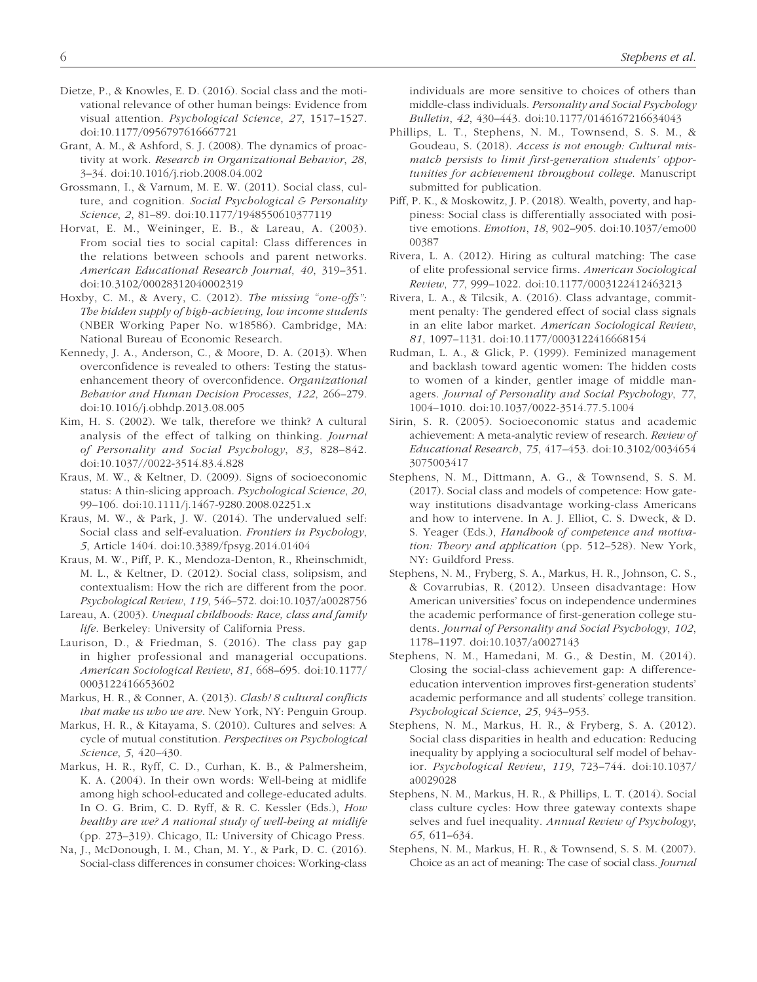- Dietze, P., & Knowles, E. D. (2016). Social class and the motivational relevance of other human beings: Evidence from visual attention. *Psychological Science*, *27*, 1517–1527. doi:10.1177/0956797616667721
- Grant, A. M., & Ashford, S. J. (2008). The dynamics of proactivity at work. *Research in Organizational Behavior*, *28*, 3–34. doi:10.1016/j.riob.2008.04.002
- Grossmann, I., & Varnum, M. E. W. (2011). Social class, culture, and cognition. *Social Psychological & Personality Science*, *2*, 81–89. doi:10.1177/1948550610377119
- Horvat, E. M., Weininger, E. B., & Lareau, A. (2003). From social ties to social capital: Class differences in the relations between schools and parent networks. *American Educational Research Journal*, *40*, 319–351. doi:10.3102/00028312040002319
- Hoxby, C. M., & Avery, C. (2012). *The missing "one-offs": The hidden supply of high-achieving, low income students* (NBER Working Paper No. w18586). Cambridge, MA: National Bureau of Economic Research.
- Kennedy, J. A., Anderson, C., & Moore, D. A. (2013). When overconfidence is revealed to others: Testing the statusenhancement theory of overconfidence. *Organizational Behavior and Human Decision Processes*, *122*, 266–279. doi:10.1016/j.obhdp.2013.08.005
- Kim, H. S. (2002). We talk, therefore we think? A cultural analysis of the effect of talking on thinking. *Journal of Personality and Social Psychology*, *83*, 828–842. doi:10.1037//0022-3514.83.4.828
- Kraus, M. W., & Keltner, D. (2009). Signs of socioeconomic status: A thin-slicing approach. *Psychological Science*, *20*, 99–106. doi:10.1111/j.1467-9280.2008.02251.x
- Kraus, M. W., & Park, J. W. (2014). The undervalued self: Social class and self-evaluation. *Frontiers in Psychology*, *5*, Article 1404. doi:10.3389/fpsyg.2014.01404
- Kraus, M. W., Piff, P. K., Mendoza-Denton, R., Rheinschmidt, M. L., & Keltner, D. (2012). Social class, solipsism, and contextualism: How the rich are different from the poor. *Psychological Review*, *119*, 546–572. doi:10.1037/a0028756
- Lareau, A. (2003). *Unequal childhoods: Race, class and family life*. Berkeley: University of California Press.
- Laurison, D., & Friedman, S. (2016). The class pay gap in higher professional and managerial occupations. *American Sociological Review*, *81*, 668–695. doi:10.1177/ 0003122416653602
- Markus, H. R., & Conner, A. (2013). *Clash! 8 cultural conflicts that make us who we are*. New York, NY: Penguin Group.
- Markus, H. R., & Kitayama, S. (2010). Cultures and selves: A cycle of mutual constitution. *Perspectives on Psychological Science*, *5*, 420–430.
- Markus, H. R., Ryff, C. D., Curhan, K. B., & Palmersheim, K. A. (2004). In their own words: Well-being at midlife among high school-educated and college-educated adults. In O. G. Brim, C. D. Ryff, & R. C. Kessler (Eds.), *How healthy are we? A national study of well-being at midlife* (pp. 273–319). Chicago, IL: University of Chicago Press.
- Na, J., McDonough, I. M., Chan, M. Y., & Park, D. C. (2016). Social-class differences in consumer choices: Working-class

individuals are more sensitive to choices of others than middle-class individuals. *Personality and Social Psychology Bulletin*, *42*, 430–443. doi:10.1177/0146167216634043

- Phillips, L. T., Stephens, N. M., Townsend, S. S. M., & Goudeau, S. (2018). *Access is not enough: Cultural mismatch persists to limit first-generation students' opportunities for achievement throughout college*. Manuscript submitted for publication.
- Piff, P. K., & Moskowitz, J. P. (2018). Wealth, poverty, and happiness: Social class is differentially associated with positive emotions. *Emotion*, *18*, 902–905. doi:10.1037/emo00 00387
- Rivera, L. A. (2012). Hiring as cultural matching: The case of elite professional service firms. *American Sociological Review*, *77*, 999–1022. doi:10.1177/0003122412463213
- Rivera, L. A., & Tilcsik, A. (2016). Class advantage, commitment penalty: The gendered effect of social class signals in an elite labor market. *American Sociological Review*, *81*, 1097–1131. doi:10.1177/0003122416668154
- Rudman, L. A., & Glick, P. (1999). Feminized management and backlash toward agentic women: The hidden costs to women of a kinder, gentler image of middle managers. *Journal of Personality and Social Psychology*, *77*, 1004–1010. doi:10.1037/0022-3514.77.5.1004
- Sirin, S. R. (2005). Socioeconomic status and academic achievement: A meta-analytic review of research. *Review of Educational Research*, *75*, 417–453. doi:10.3102/0034654 3075003417
- Stephens, N. M., Dittmann, A. G., & Townsend, S. S. M. (2017). Social class and models of competence: How gateway institutions disadvantage working-class Americans and how to intervene. In A. J. Elliot, C. S. Dweck, & D. S. Yeager (Eds.), *Handbook of competence and motivation: Theory and application* (pp. 512–528). New York, NY: Guildford Press.
- Stephens, N. M., Fryberg, S. A., Markus, H. R., Johnson, C. S., & Covarrubias, R. (2012). Unseen disadvantage: How American universities' focus on independence undermines the academic performance of first-generation college students. *Journal of Personality and Social Psychology*, *102*, 1178–1197. doi:10.1037/a0027143
- Stephens, N. M., Hamedani, M. G., & Destin, M. (2014). Closing the social-class achievement gap: A differenceeducation intervention improves first-generation students' academic performance and all students' college transition. *Psychological Science*, *25*, 943–953.
- Stephens, N. M., Markus, H. R., & Fryberg, S. A. (2012). Social class disparities in health and education: Reducing inequality by applying a sociocultural self model of behavior. *Psychological Review*, *119*, 723–744. doi:10.1037/ a0029028
- Stephens, N. M., Markus, H. R., & Phillips, L. T. (2014). Social class culture cycles: How three gateway contexts shape selves and fuel inequality. *Annual Review of Psychology*, *65*, 611–634.
- Stephens, N. M., Markus, H. R., & Townsend, S. S. M. (2007). Choice as an act of meaning: The case of social class. *Journal*